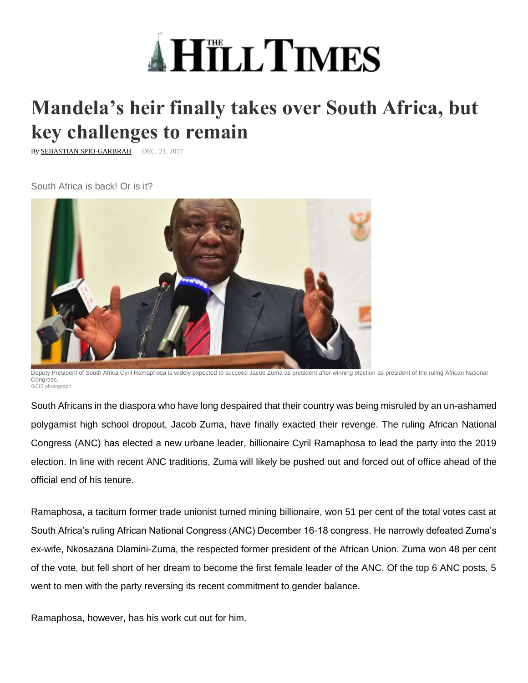

## **Mandela's heir finally takes over South Africa, but key challenges to remain**

By **SEBASTIAN SPIO-GARBRAH** DEC. 21, 2017

South Africa is back! Or is it?



Deputy President of South Africa Cyril Ramaphosa is widely expected to succeed Jacob Zuma as president after winning election as president of the ruling African National Congress. GCIS photograph

South Africans in the diaspora who have long despaired that their country was being misruled by an un-ashamed polygamist high school dropout, Jacob Zuma, have finally exacted their revenge. The ruling African National Congress (ANC) has elected a new urbane leader, billionaire Cyril Ramaphosa to lead the party into the 2019 election. In line with recent ANC traditions, Zuma will likely be pushed out and forced out of office ahead of the official end of his tenure.

Ramaphosa, a taciturn former trade unionist turned mining billionaire, won 51 per cent of the total votes cast at South Africa's ruling African National Congress (ANC) December 16-18 congress. He narrowly defeated Zuma's ex-wife, Nkosazana Dlamini-Zuma, the respected former president of the African Union. Zuma won 48 per cent of the vote, but fell short of her dream to become the first female leader of the ANC. Of the top 6 ANC posts, 5 went to men with the party reversing its recent commitment to gender balance.

Ramaphosa, however, has his work cut out for him.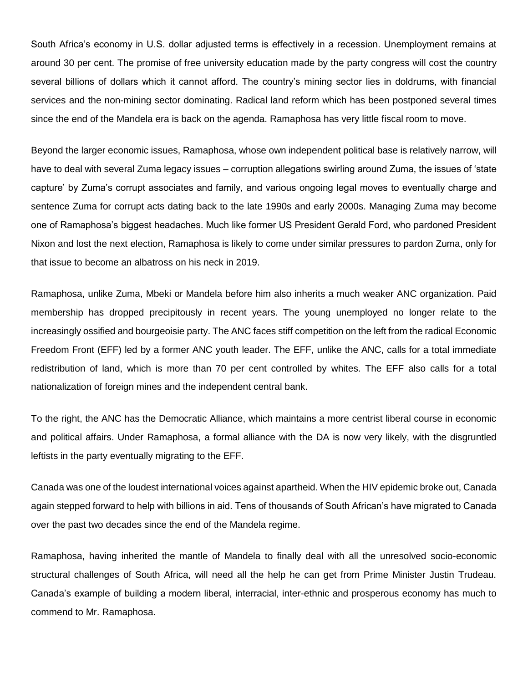South Africa's economy in U.S. dollar adjusted terms is effectively in a recession. Unemployment remains at around 30 per cent. The promise of free university education made by the party congress will cost the country several billions of dollars which it cannot afford. The country's mining sector lies in doldrums, with financial services and the non-mining sector dominating. Radical land reform which has been postponed several times since the end of the Mandela era is back on the agenda. Ramaphosa has very little fiscal room to move.

Beyond the larger economic issues, Ramaphosa, whose own independent political base is relatively narrow, will have to deal with several Zuma legacy issues – corruption allegations swirling around Zuma, the issues of 'state capture' by Zuma's corrupt associates and family, and various ongoing legal moves to eventually charge and sentence Zuma for corrupt acts dating back to the late 1990s and early 2000s. Managing Zuma may become one of Ramaphosa's biggest headaches. Much like former US President Gerald Ford, who pardoned President Nixon and lost the next election, Ramaphosa is likely to come under similar pressures to pardon Zuma, only for that issue to become an albatross on his neck in 2019.

Ramaphosa, unlike Zuma, Mbeki or Mandela before him also inherits a much weaker ANC organization. Paid membership has dropped precipitously in recent years. The young unemployed no longer relate to the increasingly ossified and bourgeoisie party. The ANC faces stiff competition on the left from the radical Economic Freedom Front (EFF) led by a former ANC youth leader. The EFF, unlike the ANC, calls for a total immediate redistribution of land, which is more than 70 per cent controlled by whites. The EFF also calls for a total nationalization of foreign mines and the independent central bank.

To the right, the ANC has the Democratic Alliance, which maintains a more centrist liberal course in economic and political affairs. Under Ramaphosa, a formal alliance with the DA is now very likely, with the disgruntled leftists in the party eventually migrating to the EFF.

Canada was one of the loudest international voices against apartheid. When the HIV epidemic broke out, Canada again stepped forward to help with billions in aid. Tens of thousands of South African's have migrated to Canada over the past two decades since the end of the Mandela regime.

Ramaphosa, having inherited the mantle of Mandela to finally deal with all the unresolved socio-economic structural challenges of South Africa, will need all the help he can get from Prime Minister Justin Trudeau. Canada's example of building a modern liberal, interracial, inter-ethnic and prosperous economy has much to commend to Mr. Ramaphosa.